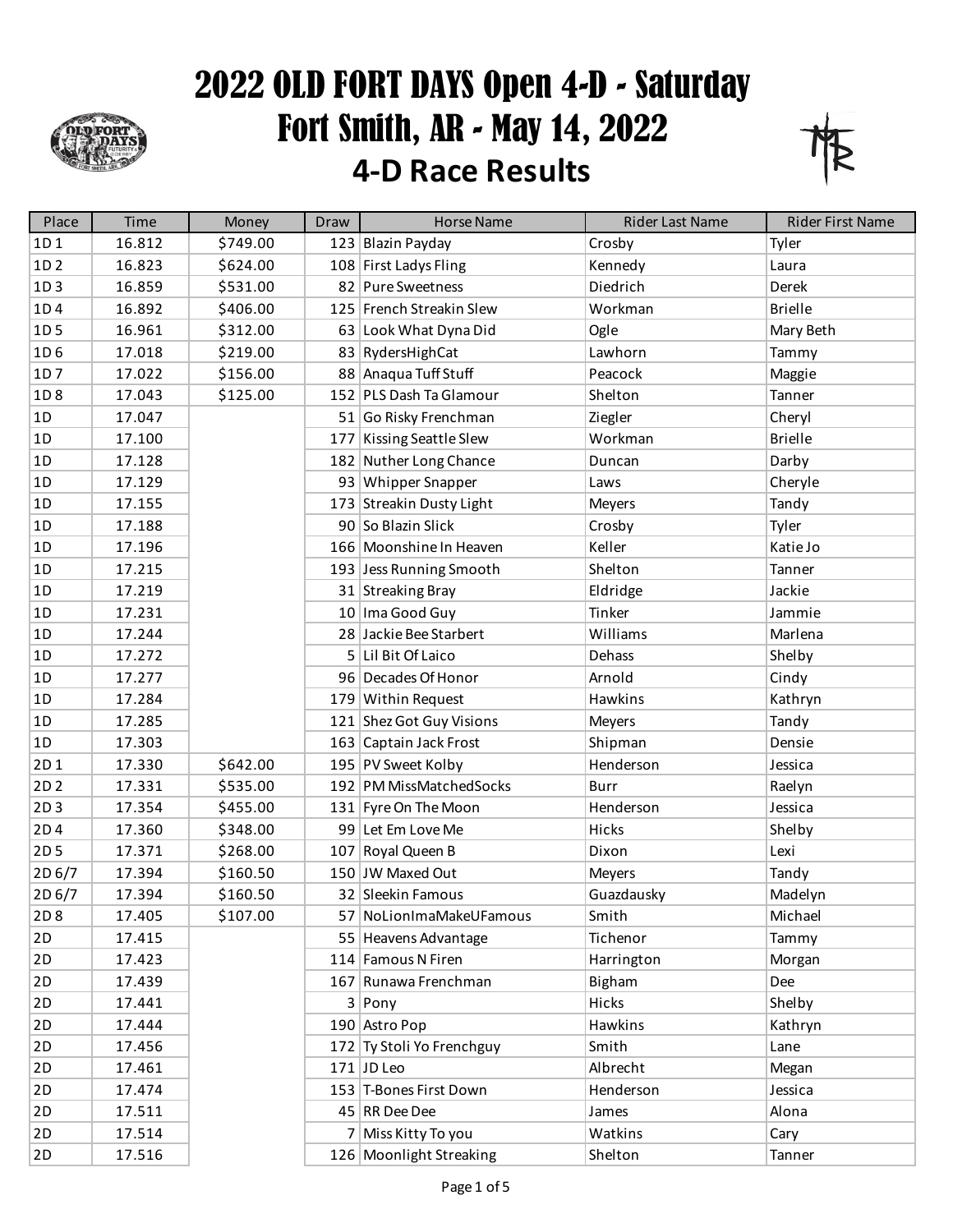

## 2022 OLD FORT DAYS Open 4-D - Saturday Fort Smith, AR - May 14, 2022 **4-D Race Results**



| Place           | Time   | Money    | Draw | <b>Horse Name</b>         | <b>Rider Last Name</b> | Rider First Name |
|-----------------|--------|----------|------|---------------------------|------------------------|------------------|
| 1D1             | 16.812 | \$749.00 |      | 123 Blazin Payday         | Crosby                 | Tyler            |
| 1D <sub>2</sub> | 16.823 | \$624.00 |      | 108 First Ladys Fling     | Kennedy                | Laura            |
| 1D3             | 16.859 | \$531.00 |      | 82 Pure Sweetness         | Diedrich               | Derek            |
| 1D4             | 16.892 | \$406.00 |      | 125 French Streakin Slew  | Workman                | <b>Brielle</b>   |
| 1D <sub>5</sub> | 16.961 | \$312.00 |      | 63 Look What Dyna Did     | Ogle                   | Mary Beth        |
| 1D <sub>6</sub> | 17.018 | \$219.00 |      | 83 RydersHighCat          | Lawhorn                | Tammy            |
| 1D7             | 17.022 | \$156.00 |      | 88 Anaqua Tuff Stuff      | Peacock                | Maggie           |
| 1D8             | 17.043 | \$125.00 |      | 152 PLS Dash Ta Glamour   | Shelton                | Tanner           |
| 1D              | 17.047 |          |      | 51 Go Risky Frenchman     | Ziegler                | Cheryl           |
| 1D              | 17.100 |          |      | 177 Kissing Seattle Slew  | Workman                | <b>Brielle</b>   |
| 1D              | 17.128 |          |      | 182 Nuther Long Chance    | Duncan                 | Darby            |
| 1D              | 17.129 |          |      | 93 Whipper Snapper        | Laws                   | Cheryle          |
| 1D              | 17.155 |          |      | 173 Streakin Dusty Light  | Meyers                 | Tandy            |
| 1D              | 17.188 |          |      | 90 So Blazin Slick        | Crosby                 | Tyler            |
| 1D              | 17.196 |          |      | 166 Moonshine In Heaven   | Keller                 | Katie Jo         |
| 1D              | 17.215 |          |      | 193 Jess Running Smooth   | Shelton                | Tanner           |
| 1D              | 17.219 |          |      | 31 Streaking Bray         | Eldridge               | Jackie           |
| 1D              | 17.231 |          |      | 10 Ima Good Guy           | Tinker                 | Jammie           |
| 1D              | 17.244 |          |      | 28 Jackie Bee Starbert    | Williams               | Marlena          |
| 1D              | 17.272 |          |      | 5 Lil Bit Of Laico        | Dehass                 | Shelby           |
| 1D              | 17.277 |          |      | 96 Decades Of Honor       | Arnold                 | Cindy            |
| 1D              | 17.284 |          |      | 179 Within Request        | Hawkins                | Kathryn          |
| 1D              | 17.285 |          |      | 121 Shez Got Guy Visions  | Meyers                 | Tandy            |
| 1D              | 17.303 |          |      | 163 Captain Jack Frost    | Shipman                | Densie           |
| 2D1             | 17.330 | \$642.00 |      | 195 PV Sweet Kolby        | Henderson              | Jessica          |
| 2D <sub>2</sub> | 17.331 | \$535.00 |      | 192 PM MissMatchedSocks   | <b>Burr</b>            | Raelyn           |
| 2D3             | 17.354 | \$455.00 |      | 131 Fyre On The Moon      | Henderson              | Jessica          |
| 2D4             | 17.360 | \$348.00 |      | 99 Let Em Love Me         | Hicks                  | Shelby           |
| 2D <sub>5</sub> | 17.371 | \$268.00 |      | 107 Royal Queen B         | Dixon                  | Lexi             |
| 2D 6/7          | 17.394 | \$160.50 |      | 150 JW Maxed Out          | Meyers                 | Tandy            |
| 2D 6/7          | 17.394 | \$160.50 |      | 32 Sleekin Famous         | Guazdausky             | Madelyn          |
| 2D 8            | 17.405 | \$107.00 |      | 57 NoLionImaMakeUFamous   | Smith                  | Michael          |
| 2D              | 17.415 |          |      | 55 Heavens Advantage      | Tichenor               | Tammy            |
| 2D              | 17.423 |          |      | 114 Famous N Firen        | Harrington             | Morgan           |
| 2D              | 17.439 |          |      | 167 Runawa Frenchman      | Bigham                 | Dee              |
| 2D              | 17.441 |          |      | $3$ Pony                  | Hicks                  | Shelby           |
| 2D              | 17.444 |          |      | 190 Astro Pop             | Hawkins                | Kathryn          |
| 2D              | 17.456 |          |      | 172 Ty Stoli Yo Frenchguy | Smith                  | Lane             |
| 2D              | 17.461 |          |      | $171$ JD Leo              | Albrecht               | Megan            |
| 2D              | 17.474 |          |      | 153 T-Bones First Down    | Henderson              | Jessica          |
| 2D              | 17.511 |          |      | 45 RR Dee Dee             | James                  | Alona            |
| 2D              | 17.514 |          |      | 7 Miss Kitty To you       | Watkins                | Cary             |
| 2D              | 17.516 |          |      | 126 Moonlight Streaking   | Shelton                | Tanner           |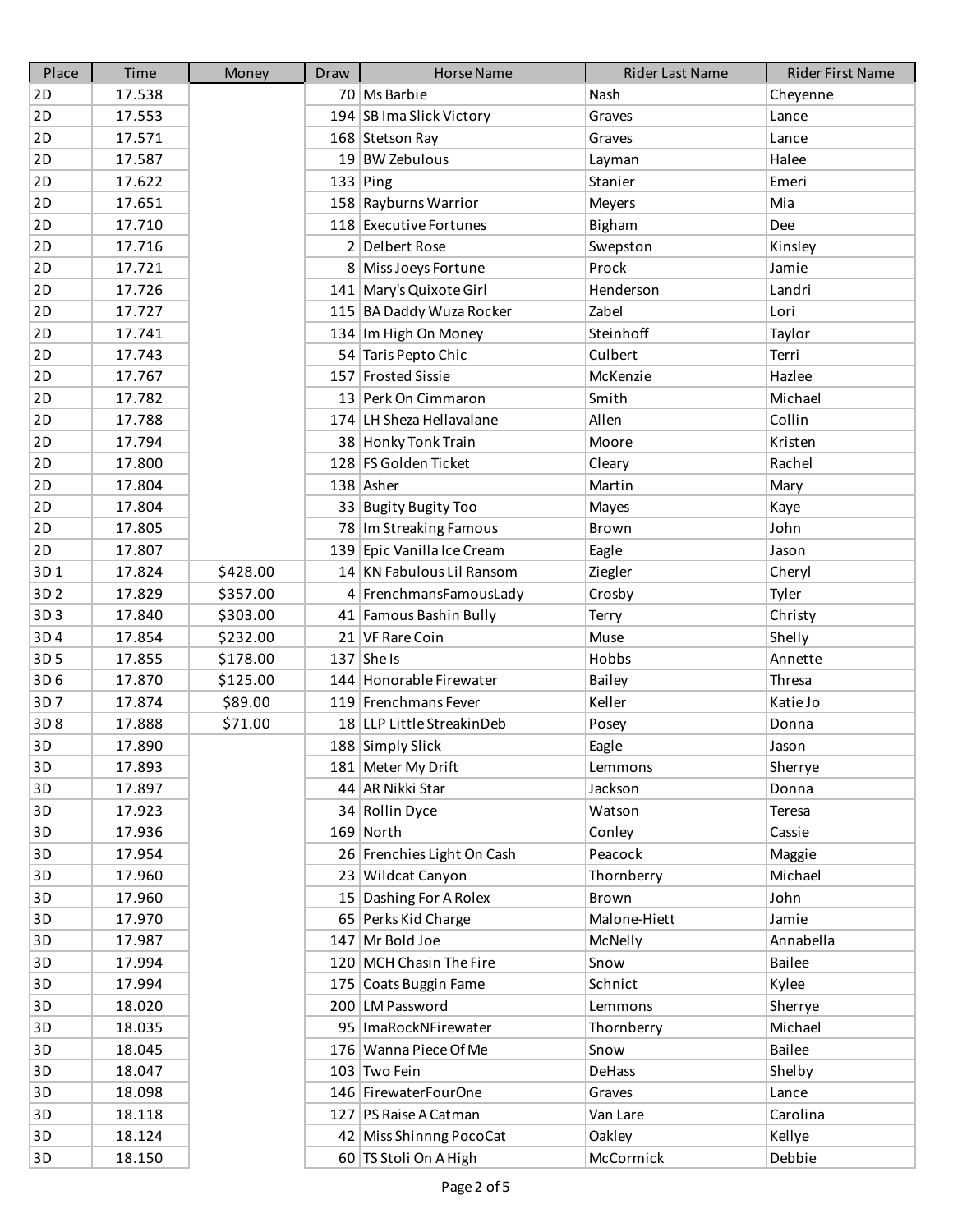| Place           | Time   | Money    | Draw | <b>Horse Name</b>          | <b>Rider Last Name</b> | Rider First Name |
|-----------------|--------|----------|------|----------------------------|------------------------|------------------|
| 2D              | 17.538 |          |      | 70 Ms Barbie               | Nash                   | Cheyenne         |
| 2D              | 17.553 |          |      | 194 SB Ima Slick Victory   | Graves                 | Lance            |
| 2D              | 17.571 |          |      | 168 Stetson Ray            | Graves                 | Lance            |
| 2D              | 17.587 |          |      | 19 BW Zebulous             | Layman                 | Halee            |
| 2D              | 17.622 |          |      | $133$ Ping                 | Stanier                | Emeri            |
| 2D              | 17.651 |          |      | 158 Rayburns Warrior       | Meyers                 | Mia              |
| 2D              | 17.710 |          |      | 118 Executive Fortunes     | Bigham                 | Dee              |
| 2D              | 17.716 |          |      | 2 Delbert Rose             | Swepston               | Kinsley          |
| 2D              | 17.721 |          |      | 8 Miss Joeys Fortune       | Prock                  | Jamie            |
| 2D              | 17.726 |          |      | 141 Mary's Quixote Girl    | Henderson              | Landri           |
| 2D              | 17.727 |          |      | 115 BA Daddy Wuza Rocker   | Zabel                  | Lori             |
| 2D              | 17.741 |          |      | 134 Im High On Money       | Steinhoff              | Taylor           |
| 2D              | 17.743 |          |      | 54 Taris Pepto Chic        | Culbert                | Terri            |
| 2D              | 17.767 |          |      | 157 Frosted Sissie         | McKenzie               | Hazlee           |
| 2D              | 17.782 |          |      | 13 Perk On Cimmaron        | Smith                  | Michael          |
| 2D              | 17.788 |          |      | 174 LH Sheza Hellavalane   | Allen                  | Collin           |
| 2D              | 17.794 |          |      | 38 Honky Tonk Train        | Moore                  | Kristen          |
| 2D              | 17.800 |          |      | 128 FS Golden Ticket       | Cleary                 | Rachel           |
| 2D              | 17.804 |          |      | $138$ Asher                | Martin                 | Mary             |
| 2D              | 17.804 |          |      | 33 Bugity Bugity Too       | Mayes                  | Kaye             |
| 2D              | 17.805 |          |      | 78   Im Streaking Famous   | Brown                  | John             |
| 2D              | 17.807 |          |      | 139 Epic Vanilla Ice Cream | Eagle                  | Jason            |
| 3D1             | 17.824 | \$428.00 |      | 14 KN Fabulous Lil Ransom  | Ziegler                | Cheryl           |
| 3D <sub>2</sub> | 17.829 | \$357.00 |      | 4 FrenchmansFamousLady     | Crosby                 | Tyler            |
| 3D3             | 17.840 | \$303.00 |      | 41 Famous Bashin Bully     | Terry                  | Christy          |
| 3D4             | 17.854 | \$232.00 |      | 21 VF Rare Coin            | Muse                   | Shelly           |
| 3D <sub>5</sub> | 17.855 | \$178.00 |      | $137$ She Is               | Hobbs                  | Annette          |
| 3D <sub>6</sub> | 17.870 | \$125.00 |      | 144 Honorable Firewater    | Bailey                 | Thresa           |
| 3D7             | 17.874 | \$89.00  |      | 119 Frenchmans Fever       | Keller                 | Katie Jo         |
| 3D8             | 17.888 | \$71.00  |      | 18 LLP Little StreakinDeb  | Posey                  | Donna            |
| 3D              | 17.890 |          |      | 188 Simply Slick           | Eagle                  | Jason            |
| 3D              | 17.893 |          |      | 181 Meter My Drift         | Lemmons                | Sherrye          |
| 3D              | 17.897 |          |      | 44 AR Nikki Star           | Jackson                | Donna            |
| 3D              | 17.923 |          |      | 34 Rollin Dyce             | Watson                 | Teresa           |
| 3D              | 17.936 |          |      | 169 North                  | Conley                 | Cassie           |
| 3D              | 17.954 |          |      | 26 Frenchies Light On Cash | Peacock                | Maggie           |
| 3D              | 17.960 |          |      | 23 Wildcat Canyon          | Thornberry             | Michael          |
| 3D              | 17.960 |          |      | 15 Dashing For A Rolex     | Brown                  | John             |
| 3D              | 17.970 |          |      | 65 Perks Kid Charge        | Malone-Hiett           | Jamie            |
| 3D              | 17.987 |          |      | 147 Mr Bold Joe            | McNelly                | Annabella        |
| 3D              | 17.994 |          |      | 120 MCH Chasin The Fire    | Snow                   | Bailee           |
| 3D              | 17.994 |          |      | 175 Coats Buggin Fame      | Schnict                | Kylee            |
| 3D              | 18.020 |          |      | 200 LM Password            | Lemmons                | Sherrye          |
| 3D              | 18.035 |          |      | 95   ImaRockNFirewater     | Thornberry             | Michael          |
| 3D              | 18.045 |          |      | 176 Wanna Piece Of Me      | Snow                   | Bailee           |
| 3D              | 18.047 |          |      | 103 Two Fein               | DeHass                 | Shelby           |
| 3D              | 18.098 |          |      | 146 FirewaterFourOne       | Graves                 | Lance            |
| 3D              | 18.118 |          |      | 127   PS Raise A Catman    | Van Lare               | Carolina         |
| 3D              | 18.124 |          |      | 42 Miss Shinnng PocoCat    | Oakley                 | Kellye           |
| 3D              | 18.150 |          |      | 60 TS Stoli On A High      | McCormick              | Debbie           |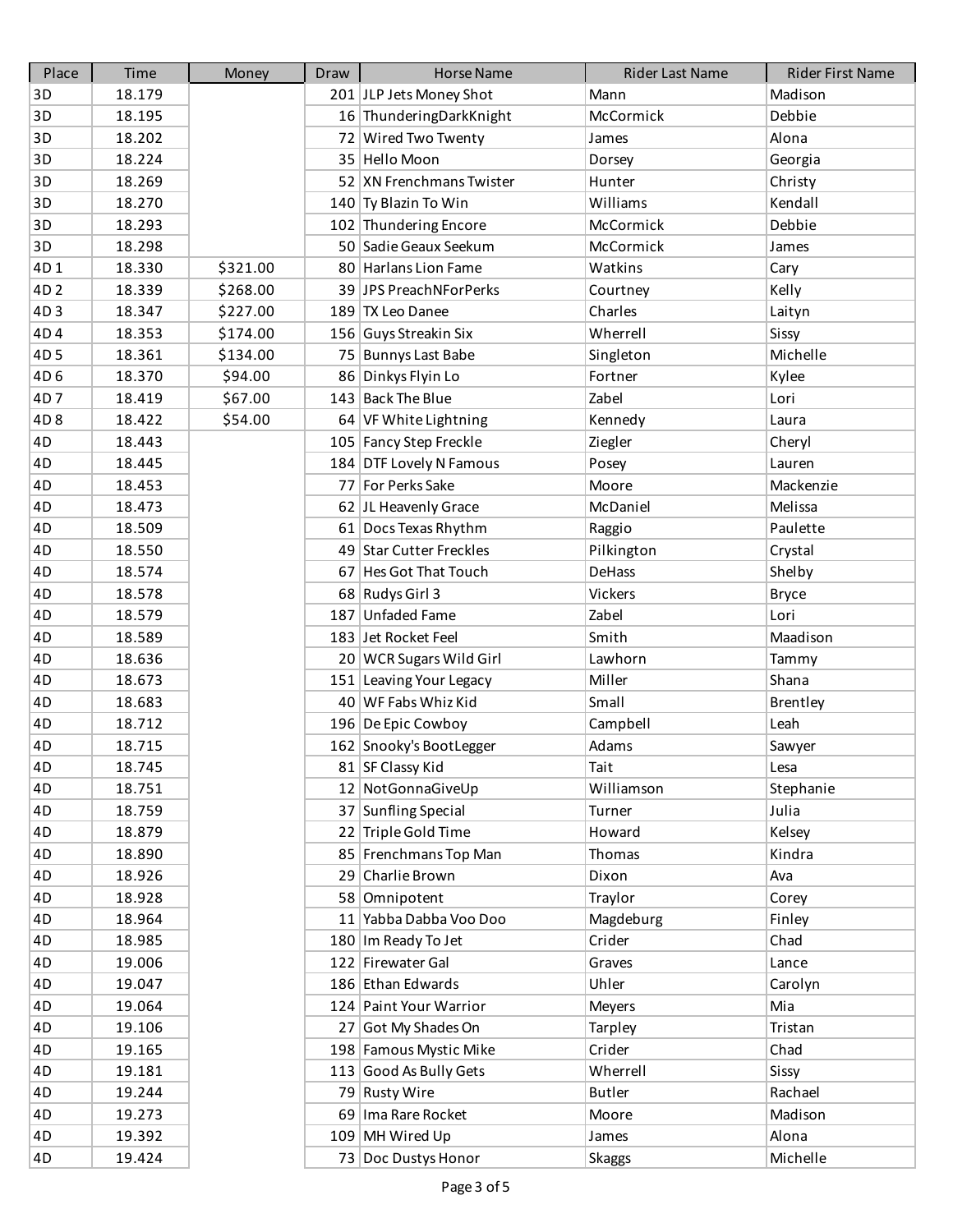| Place           | Time   | Money    | Draw | <b>Horse Name</b>        | Rider Last Name | Rider First Name |
|-----------------|--------|----------|------|--------------------------|-----------------|------------------|
| 3D              | 18.179 |          |      | 201 JLP Jets Money Shot  | Mann            | Madison          |
| 3D              | 18.195 |          |      | 16 ThunderingDarkKnight  | McCormick       | Debbie           |
| 3D              | 18.202 |          |      | 72 Wired Two Twenty      | James           | Alona            |
| 3D              | 18.224 |          |      | 35 Hello Moon            | Dorsey          | Georgia          |
| 3D              | 18.269 |          |      | 52 XN Frenchmans Twister | Hunter          | Christy          |
| 3D              | 18.270 |          |      | 140 Ty Blazin To Win     | Williams        | Kendall          |
| 3D              | 18.293 |          |      | 102 Thundering Encore    | McCormick       | Debbie           |
| 3D              | 18.298 |          |      | 50 Sadie Geaux Seekum    | McCormick       | James            |
| 4D1             | 18.330 | \$321.00 |      | 80 Harlans Lion Fame     | Watkins         | Cary             |
| 4D <sub>2</sub> | 18.339 | \$268.00 |      | 39 JPS PreachNForPerks   | Courtney        | Kelly            |
| 4D3             | 18.347 | \$227.00 |      | 189 TX Leo Danee         | Charles         | Laityn           |
| 4D4             | 18.353 | \$174.00 |      | 156 Guys Streakin Six    | Wherrell        | Sissy            |
| 4D <sub>5</sub> | 18.361 | \$134.00 |      | 75 Bunnys Last Babe      | Singleton       | Michelle         |
| 4D <sub>6</sub> | 18.370 | \$94.00  |      | 86 Dinkys Flyin Lo       | Fortner         | Kylee            |
| 4D7             | 18.419 | \$67.00  |      | 143 Back The Blue        | Zabel           | Lori             |
| 4D <sub>8</sub> | 18.422 | \$54.00  |      | 64 VF White Lightning    | Kennedy         | Laura            |
| 4D              | 18.443 |          |      | 105 Fancy Step Freckle   | Ziegler         | Cheryl           |
| 4D              | 18.445 |          |      | 184 DTF Lovely N Famous  | Posey           | Lauren           |
| 4D              | 18.453 |          |      | 77 For Perks Sake        | Moore           | Mackenzie        |
| 4D              | 18.473 |          |      | 62 JL Heavenly Grace     | McDaniel        | Melissa          |
| 4D              | 18.509 |          |      | 61 Docs Texas Rhythm     | Raggio          | Paulette         |
| 4D              | 18.550 |          |      | 49 Star Cutter Freckles  | Pilkington      | Crystal          |
| 4D              | 18.574 |          |      | 67 Hes Got That Touch    | DeHass          | Shelby           |
| 4D              | 18.578 |          |      | 68 Rudys Girl 3          | Vickers         | <b>Bryce</b>     |
| 4D              | 18.579 |          |      | 187 Unfaded Fame         | Zabel           | Lori             |
| 4D              | 18.589 |          |      | 183 Jet Rocket Feel      | Smith           | Maadison         |
| 4D              | 18.636 |          |      | 20 WCR Sugars Wild Girl  | Lawhorn         | Tammy            |
| 4D              | 18.673 |          |      | 151 Leaving Your Legacy  | Miller          | Shana            |
| 4D              | 18.683 |          |      | 40 WF Fabs Whiz Kid      | Small           | <b>Brentley</b>  |
| 4D              | 18.712 |          |      | 196 De Epic Cowboy       | Campbell        | Leah             |
| 4D              | 18.715 |          |      | 162 Snooky's BootLegger  | Adams           | Sawyer           |
| 4D              | 18.745 |          |      | 81 SF Classy Kid         | Tait            | Lesa             |
| 4D              | 18.751 |          |      | 12 NotGonnaGiveUp        | Williamson      | Stephanie        |
| 4D              | 18.759 |          |      | 37 Sunfling Special      | Turner          | Julia            |
| 4D              | 18.879 |          |      | 22 Triple Gold Time      | Howard          | Kelsey           |
| 4D              | 18.890 |          |      | 85 Frenchmans Top Man    | Thomas          | Kindra           |
| 4D              | 18.926 |          |      | 29 Charlie Brown         | Dixon           | Ava              |
| 4D              | 18.928 |          |      | 58 Omnipotent            | Traylor         | Corey            |
| 4D              | 18.964 |          |      | 11 Yabba Dabba Voo Doo   | Magdeburg       | Finley           |
| 4D              | 18.985 |          |      | 180 Im Ready To Jet      | Crider          | Chad             |
| 4D              | 19.006 |          |      | 122 Firewater Gal        | Graves          | Lance            |
| 4D              | 19.047 |          |      | 186 Ethan Edwards        | Uhler           | Carolyn          |
| 4D              | 19.064 |          |      | 124 Paint Your Warrior   | <b>Meyers</b>   | Mia              |
| 4D              | 19.106 |          |      | 27 Got My Shades On      | Tarpley         | Tristan          |
| 4D              | 19.165 |          |      | 198 Famous Mystic Mike   | Crider          | Chad             |
| 4D              | 19.181 |          |      | 113 Good As Bully Gets   | Wherrell        | Sissy            |
| 4D              | 19.244 |          |      | 79 Rusty Wire            | <b>Butler</b>   | Rachael          |
| 4D              | 19.273 |          |      | 69   Ima Rare Rocket     | Moore           | Madison          |
| 4D              | 19.392 |          |      | 109 MH Wired Up          | James           | Alona            |
| 4D              | 19.424 |          |      | 73 Doc Dustys Honor      | <b>Skaggs</b>   | Michelle         |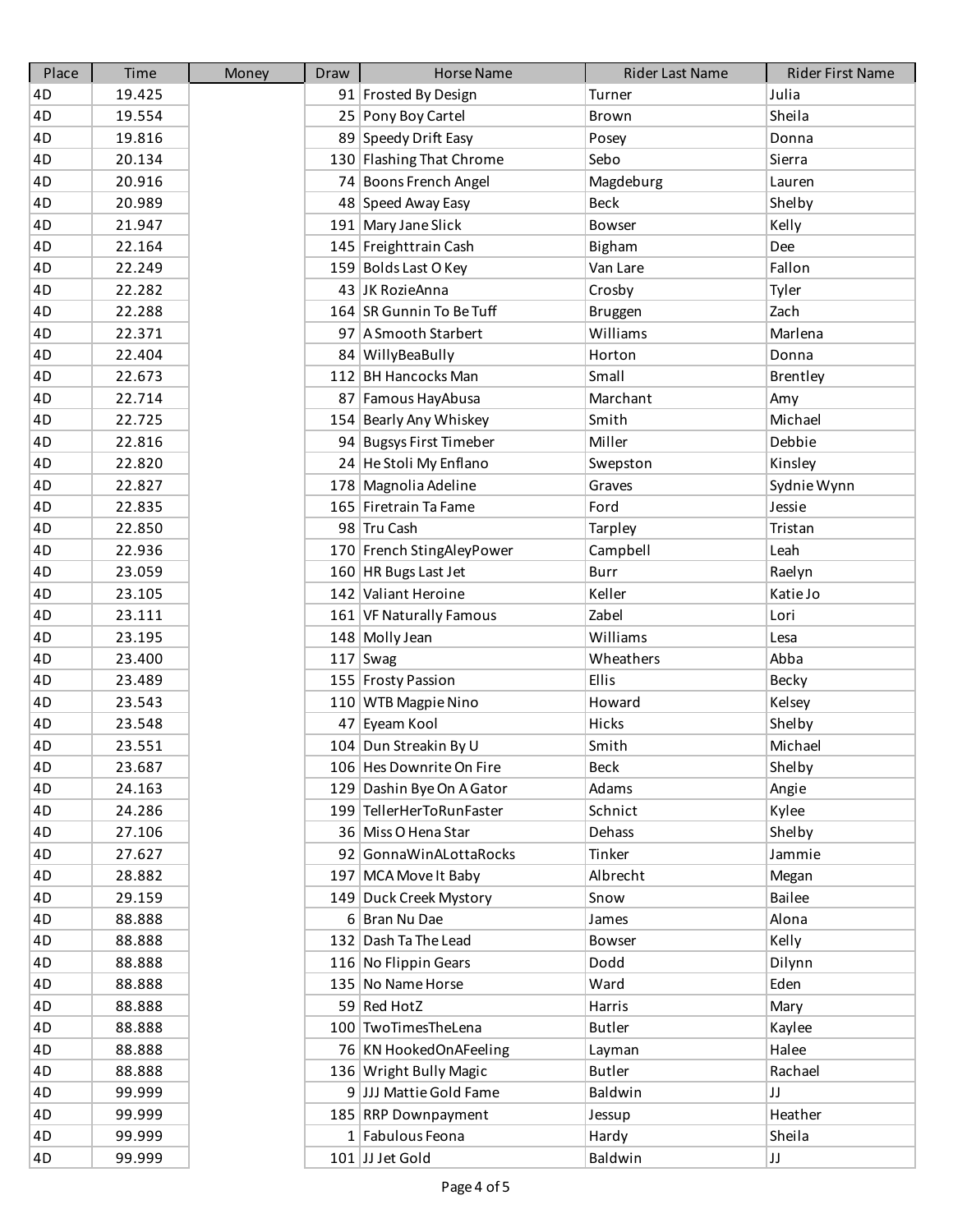| Place | Time   | Money | Draw | <b>Horse Name</b>         | Rider Last Name | Rider First Name |
|-------|--------|-------|------|---------------------------|-----------------|------------------|
| 4D    | 19.425 |       |      | 91 Frosted By Design      | Turner          | Julia            |
| 4D    | 19.554 |       |      | 25 Pony Boy Cartel        | Brown           | Sheila           |
| 4D    | 19.816 |       |      | 89 Speedy Drift Easy      | Posey           | Donna            |
| 4D    | 20.134 |       |      | 130 Flashing That Chrome  | Sebo            | Sierra           |
| 4D    | 20.916 |       |      | 74 Boons French Angel     | Magdeburg       | Lauren           |
| 4D    | 20.989 |       |      | 48 Speed Away Easy        | <b>Beck</b>     | Shelby           |
| 4D    | 21.947 |       |      | 191 Mary Jane Slick       | Bowser          | Kelly            |
| 4D    | 22.164 |       |      | 145 Freighttrain Cash     | Bigham          | Dee              |
| 4D    | 22.249 |       |      | 159 Bolds Last O Key      | Van Lare        | Fallon           |
| 4D    | 22.282 |       |      | 43 JK RozieAnna           | Crosby          | Tyler            |
| 4D    | 22.288 |       |      | 164 SR Gunnin To Be Tuff  | <b>Bruggen</b>  | Zach             |
| 4D    | 22.371 |       |      | 97 A Smooth Starbert      | Williams        | Marlena          |
| 4D    | 22.404 |       |      | 84 WillyBeaBully          | Horton          | Donna            |
| 4D    | 22.673 |       |      | 112 BH Hancocks Man       | Small           | Brentley         |
| 4D    | 22.714 |       |      | 87 Famous Hay Abusa       | Marchant        | Amy              |
| 4D    | 22.725 |       |      | 154 Bearly Any Whiskey    | Smith           | Michael          |
| 4D    | 22.816 |       |      | 94 Bugsys First Timeber   | Miller          | Debbie           |
| 4D    | 22.820 |       |      | 24 He Stoli My Enflano    | Swepston        | Kinsley          |
| 4D    | 22.827 |       |      | 178 Magnolia Adeline      | Graves          | Sydnie Wynn      |
| 4D    | 22.835 |       |      | 165 Firetrain Ta Fame     | Ford            | Jessie           |
| 4D    | 22.850 |       |      | 98 Tru Cash               | Tarpley         | Tristan          |
| 4D    | 22.936 |       |      | 170 French StingAleyPower | Campbell        | Leah             |
| 4D    | 23.059 |       |      | 160 HR Bugs Last Jet      | <b>Burr</b>     | Raelyn           |
| 4D    | 23.105 |       |      | 142 Valiant Heroine       | Keller          | Katie Jo         |
| 4D    | 23.111 |       |      | 161 VF Naturally Famous   | Zabel           | Lori             |
| 4D    | 23.195 |       |      | 148 Molly Jean            | Williams        | Lesa             |
| 4D    | 23.400 |       |      | $117$ Swag                | Wheathers       | Abba             |
| 4D    | 23.489 |       |      | 155 Frosty Passion        | Ellis           | Becky            |
| 4D    | 23.543 |       |      | 110 WTB Magpie Nino       | Howard          | Kelsey           |
| 4D    | 23.548 |       |      | 47 Eyeam Kool             | Hicks           | Shelby           |
| 4D    | 23.551 |       |      | 104 Dun Streakin By U     | Smith           | Michael          |
| 4D    | 23.687 |       |      | 106 Hes Downrite On Fire  | <b>Beck</b>     | Shelby           |
| 4D    | 24.163 |       |      | 129 Dashin Bye On A Gator | Adams           | Angie            |
| 4D    | 24.286 |       |      | 199 TellerHerToRunFaster  | Schnict         | Kylee            |
| 4D    | 27.106 |       |      | 36 Miss O Hena Star       | Dehass          | Shelby           |
| 4D    | 27.627 |       |      | 92 GonnaWinALottaRocks    | Tinker          | Jammie           |
| 4D    | 28.882 |       |      | 197 MCA Move It Baby      | Albrecht        | Megan            |
| 4D    | 29.159 |       |      | 149 Duck Creek Mystory    | Snow            | <b>Bailee</b>    |
| 4D    | 88.888 |       |      | 6 Bran Nu Dae             | James           | Alona            |
| 4D    | 88.888 |       |      | 132 Dash Ta The Lead      | Bowser          | Kelly            |
| 4D    | 88.888 |       |      | 116 No Flippin Gears      | Dodd            | Dilynn           |
| 4D    | 88.888 |       |      | 135 No Name Horse         | Ward            | Eden             |
| 4D    | 88.888 |       |      | 59 Red HotZ               | Harris          | Mary             |
| 4D    | 88.888 |       |      | 100 TwoTimesTheLena       | <b>Butler</b>   | Kaylee           |
| 4D    | 88.888 |       |      | 76 KN HookedOnAFeeling    | Layman          | Halee            |
| 4D    | 88.888 |       |      | 136 Wright Bully Magic    | <b>Butler</b>   | Rachael          |
| 4D    | 99.999 |       |      | 9 JJJ Mattie Gold Fame    | Baldwin         | JJ               |
| 4D    | 99.999 |       |      | 185 RRP Downpayment       | Jessup          | Heather          |
| 4D    | 99.999 |       |      | 1 Fabulous Feona          | Hardy           | Sheila           |
| 4D    | 99.999 |       |      | 101 JJ Jet Gold           | Baldwin         | JJ               |